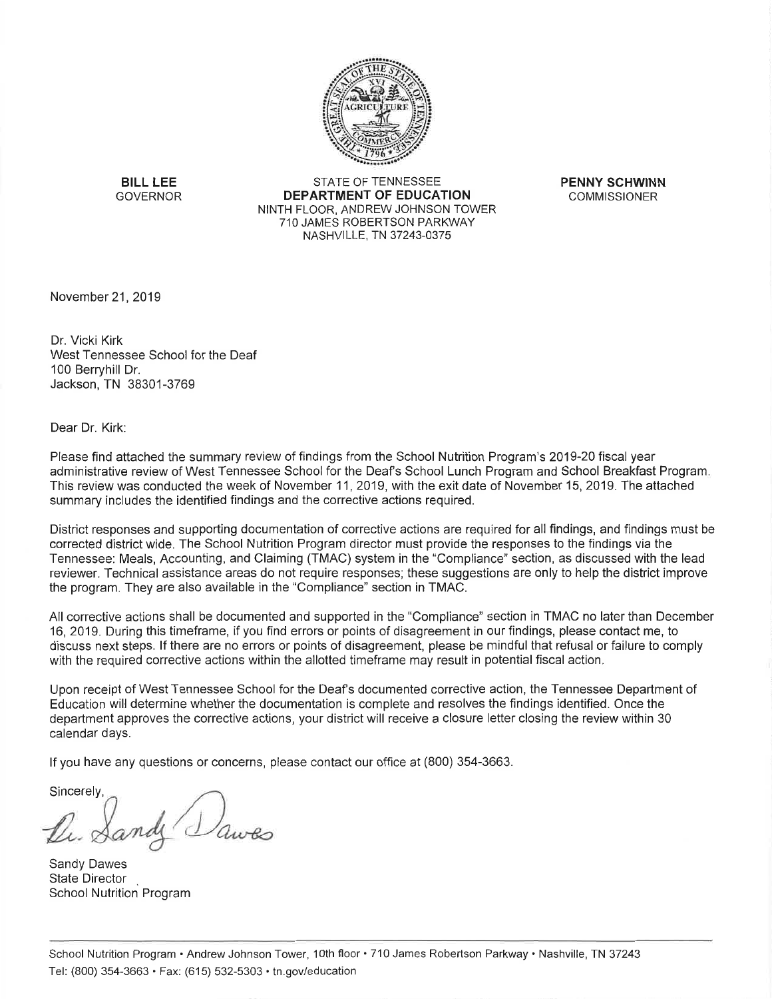

**BILL LEE GOVERNOR** 

**STATE OF TENNESSEE DEPARTMENT OF EDUCATION** NINTH FLOOR, ANDREW JOHNSON TOWER 710 JAMES ROBERTSON PARKWAY NASHVILLE, TN 37243-0375

**PENNY SCHWINN COMMISSIONER** 

November 21, 2019

Dr. Vicki Kirk West Tennessee School for the Deaf 100 Berryhill Dr. Jackson, TN 38301-3769

Dear Dr. Kirk:

Please find attached the summary review of findings from the School Nutrition Program's 2019-20 fiscal year administrative review of West Tennessee School for the Deaf's School Lunch Program and School Breakfast Program. This review was conducted the week of November 11, 2019, with the exit date of November 15, 2019. The attached summary includes the identified findings and the corrective actions required.

District responses and supporting documentation of corrective actions are required for all findings, and findings must be corrected district wide. The School Nutrition Program director must provide the responses to the findings via the Tennessee: Meals, Accounting, and Claiming (TMAC) system in the "Compliance" section, as discussed with the lead reviewer. Technical assistance areas do not require responses; these suggestions are only to help the district improve the program. They are also available in the "Compliance" section in TMAC.

All corrective actions shall be documented and supported in the "Compliance" section in TMAC no later than December 16, 2019. During this timeframe, if you find errors or points of disagreement in our findings, please contact me, to discuss next steps. If there are no errors or points of disagreement, please be mindful that refusal or failure to comply with the required corrective actions within the allotted timeframe may result in potential fiscal action.

Upon receipt of West Tennessee School for the Deaf's documented corrective action, the Tennessee Department of Education will determine whether the documentation is complete and resolves the findings identified. Once the department approves the corrective actions, your district will receive a closure letter closing the review within 30 calendar days.

If you have any questions or concerns, please contact our office at (800) 354-3663.

Sincerely,

Sandy Dawes **State Director** School Nutrition Program